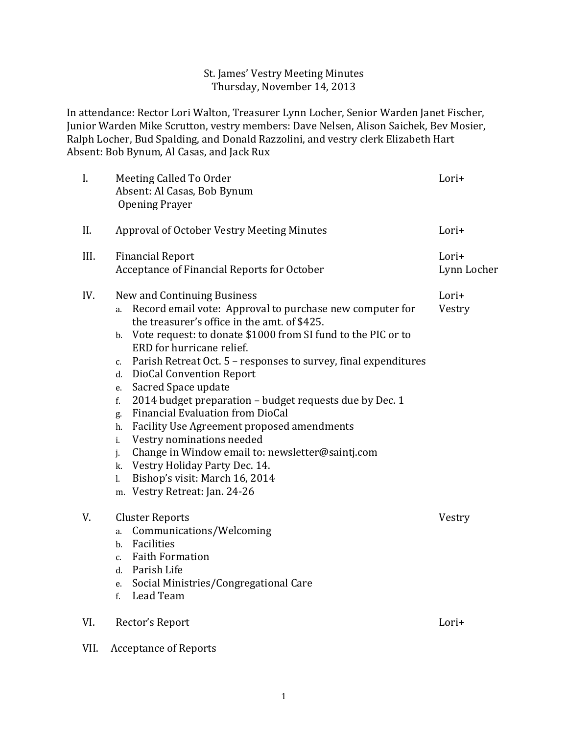### St. James' Vestry Meeting Minutes Thursday, November 14, 2013

In attendance: Rector Lori Walton, Treasurer Lynn Locher, Senior Warden Janet Fischer, Junior Warden Mike Scrutton, vestry members: Dave Nelsen, Alison Saichek, Bev Mosier, Ralph Locher, Bud Spalding, and Donald Razzolini, and vestry clerk Elizabeth Hart Absent: Bob Bynum, Al Casas, and Jack Rux

| I.   | Meeting Called To Order<br>Absent: Al Casas, Bob Bynum<br><b>Opening Prayer</b>                                                                                                                                                                                                                                                                                                                                                                                                                                                                                                                                                                                                                                                                                      | Lori+                |  |
|------|----------------------------------------------------------------------------------------------------------------------------------------------------------------------------------------------------------------------------------------------------------------------------------------------------------------------------------------------------------------------------------------------------------------------------------------------------------------------------------------------------------------------------------------------------------------------------------------------------------------------------------------------------------------------------------------------------------------------------------------------------------------------|----------------------|--|
| II.  | Approval of October Vestry Meeting Minutes                                                                                                                                                                                                                                                                                                                                                                                                                                                                                                                                                                                                                                                                                                                           | Lori+                |  |
| III. | <b>Financial Report</b><br>Acceptance of Financial Reports for October                                                                                                                                                                                                                                                                                                                                                                                                                                                                                                                                                                                                                                                                                               | Lori+<br>Lynn Locher |  |
| IV.  | New and Continuing Business<br>Record email vote: Approval to purchase new computer for<br>a.<br>the treasurer's office in the amt. of \$425.<br>Vote request: to donate \$1000 from SI fund to the PIC or to<br>b.<br>ERD for hurricane relief.<br>Parish Retreat Oct. 5 - responses to survey, final expenditures<br>C.<br>DioCal Convention Report<br>d.<br>Sacred Space update<br>e.<br>2014 budget preparation - budget requests due by Dec. 1<br>f.<br>Financial Evaluation from DioCal<br>g.<br>Facility Use Agreement proposed amendments<br>h.<br>Vestry nominations needed<br>i.<br>Change in Window email to: newsletter@saintj.com<br>j.<br>Vestry Holiday Party Dec. 14.<br>k.<br>Bishop's visit: March 16, 2014<br>1.<br>m. Vestry Retreat: Jan. 24-26 | Lori+<br>Vestry      |  |
| V.   | <b>Cluster Reports</b><br>Communications/Welcoming<br>a.<br>Facilities<br>b.<br>c. Faith Formation<br>d. Parish Life<br>e. Social Ministries/Congregational Care<br>Lead Team<br>f.                                                                                                                                                                                                                                                                                                                                                                                                                                                                                                                                                                                  | Vestry               |  |
| VI.  | Rector's Report                                                                                                                                                                                                                                                                                                                                                                                                                                                                                                                                                                                                                                                                                                                                                      | Lori+                |  |
| VII. | <b>Acceptance of Reports</b>                                                                                                                                                                                                                                                                                                                                                                                                                                                                                                                                                                                                                                                                                                                                         |                      |  |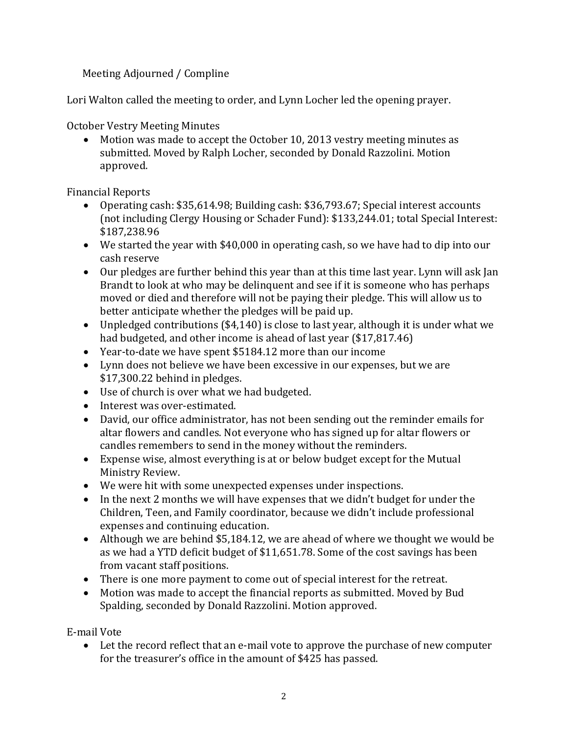Meeting Adjourned / Compline

Lori Walton called the meeting to order, and Lynn Locher led the opening prayer.

October Vestry Meeting Minutes

• Motion was made to accept the October 10, 2013 vestry meeting minutes as submitted. Moved by Ralph Locher, seconded by Donald Razzolini. Motion approved.

Financial Reports

- Operating cash: \$35,614.98; Building cash: \$36,793.67; Special interest accounts (not including Clergy Housing or Schader Fund): \$133,244.01; total Special Interest: \$187,238.96
- We started the year with \$40,000 in operating cash, so we have had to dip into our cash reserve
- Our pledges are further behind this year than at this time last year. Lynn will ask Jan Brandt to look at who may be delinquent and see if it is someone who has perhaps moved or died and therefore will not be paying their pledge. This will allow us to better anticipate whether the pledges will be paid up.
- Unpledged contributions (\$4,140) is close to last year, although it is under what we had budgeted, and other income is ahead of last year (\$17,817.46)
- Year-to-date we have spent \$5184.12 more than our income
- Lynn does not believe we have been excessive in our expenses, but we are \$17,300.22 behind in pledges.
- Use of church is over what we had budgeted.
- Interest was over-estimated.
- David, our office administrator, has not been sending out the reminder emails for altar flowers and candles. Not everyone who has signed up for altar flowers or candles remembers to send in the money without the reminders.
- Expense wise, almost everything is at or below budget except for the Mutual Ministry Review.
- We were hit with some unexpected expenses under inspections.
- In the next 2 months we will have expenses that we didn't budget for under the Children, Teen, and Family coordinator, because we didn't include professional expenses and continuing education.
- Although we are behind \$5,184.12, we are ahead of where we thought we would be as we had a YTD deficit budget of \$11,651.78. Some of the cost savings has been from vacant staff positions.
- There is one more payment to come out of special interest for the retreat.
- Motion was made to accept the financial reports as submitted. Moved by Bud Spalding, seconded by Donald Razzolini. Motion approved.

E-mail Vote

• Let the record reflect that an e-mail vote to approve the purchase of new computer for the treasurer's office in the amount of \$425 has passed.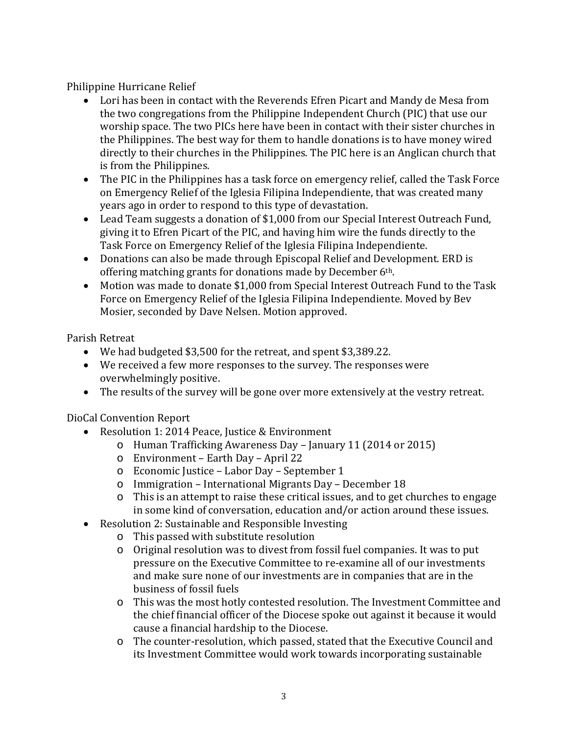Philippine Hurricane Relief

- Lori has been in contact with the Reverends Efren Picart and Mandy de Mesa from the two congregations from the Philippine Independent Church (PIC) that use our worship space. The two PICs here have been in contact with their sister churches in the Philippines. The best way for them to handle donations is to have money wired directly to their churches in the Philippines. The PIC here is an Anglican church that is from the Philippines.
- The PIC in the Philippines has a task force on emergency relief, called the Task Force on Emergency Relief of the Iglesia Filipina Independiente, that was created many years ago in order to respond to this type of devastation.
- Lead Team suggests a donation of \$1,000 from our Special Interest Outreach Fund, giving it to Efren Picart of the PIC, and having him wire the funds directly to the Task Force on Emergency Relief of the Iglesia Filipina Independiente.
- Donations can also be made through Episcopal Relief and Development. ERD is offering matching grants for donations made by December 6th.
- Motion was made to donate \$1,000 from Special Interest Outreach Fund to the Task Force on Emergency Relief of the Iglesia Filipina Independiente. Moved by Bev Mosier, seconded by Dave Nelsen. Motion approved.

Parish Retreat

- We had budgeted \$3,500 for the retreat, and spent \$3,389.22.
- We received a few more responses to the survey. The responses were overwhelmingly positive.
- The results of the survey will be gone over more extensively at the vestry retreat.

DioCal Convention Report

- Resolution 1: 2014 Peace, Justice & Environment
	- o Human Trafficking Awareness Day January 11 (2014 or 2015)
	- o Environment Earth Day April 22
	- o Economic Justice Labor Day September 1
	- o Immigration International Migrants Day December 18
	- o This is an attempt to raise these critical issues, and to get churches to engage in some kind of conversation, education and/or action around these issues.
- Resolution 2: Sustainable and Responsible Investing
	- o This passed with substitute resolution
	- o Original resolution was to divest from fossil fuel companies. It was to put pressure on the Executive Committee to re-examine all of our investments and make sure none of our investments are in companies that are in the business of fossil fuels
	- o This was the most hotly contested resolution. The Investment Committee and the chief financial officer of the Diocese spoke out against it because it would cause a financial hardship to the Diocese.
	- o The counter-resolution, which passed, stated that the Executive Council and its Investment Committee would work towards incorporating sustainable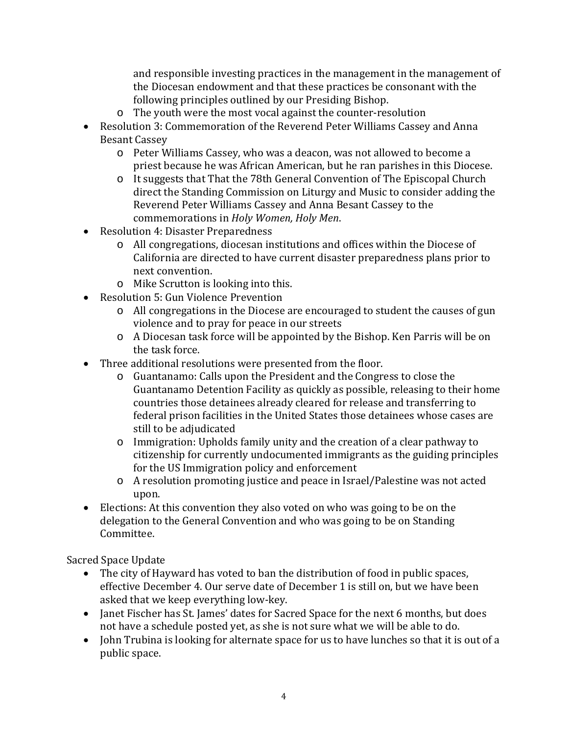and responsible investing practices in the management in the management of the Diocesan endowment and that these practices be consonant with the following principles outlined by our Presiding Bishop.

- o The youth were the most vocal against the counter-resolution
- Resolution 3: Commemoration of the Reverend Peter Williams Cassey and Anna Besant Cassey
	- o Peter Williams Cassey, who was a deacon, was not allowed to become a priest because he was African American, but he ran parishes in this Diocese.
	- o It suggests that That the 78th General Convention of The Episcopal Church direct the Standing Commission on Liturgy and Music to consider adding the Reverend Peter Williams Cassey and Anna Besant Cassey to the commemorations in *Holy Women, Holy Men*.
- Resolution 4: Disaster Preparedness
	- o All congregations, diocesan institutions and offices within the Diocese of California are directed to have current disaster preparedness plans prior to next convention.
	- o Mike Scrutton is looking into this.
- Resolution 5: Gun Violence Prevention
	- o All congregations in the Diocese are encouraged to student the causes of gun violence and to pray for peace in our streets
	- o A Diocesan task force will be appointed by the Bishop. Ken Parris will be on the task force.
- Three additional resolutions were presented from the floor.
	- o Guantanamo: Calls upon the President and the Congress to close the Guantanamo Detention Facility as quickly as possible, releasing to their home countries those detainees already cleared for release and transferring to federal prison facilities in the United States those detainees whose cases are still to be adjudicated
	- o Immigration: Upholds family unity and the creation of a clear pathway to citizenship for currently undocumented immigrants as the guiding principles for the US Immigration policy and enforcement
	- o A resolution promoting justice and peace in Israel/Palestine was not acted upon.
- Elections: At this convention they also voted on who was going to be on the delegation to the General Convention and who was going to be on Standing Committee.

Sacred Space Update

- The city of Hayward has voted to ban the distribution of food in public spaces, effective December 4. Our serve date of December 1 is still on, but we have been asked that we keep everything low-key.
- Janet Fischer has St. James' dates for Sacred Space for the next 6 months, but does not have a schedule posted yet, as she is not sure what we will be able to do.
- John Trubina is looking for alternate space for us to have lunches so that it is out of a public space.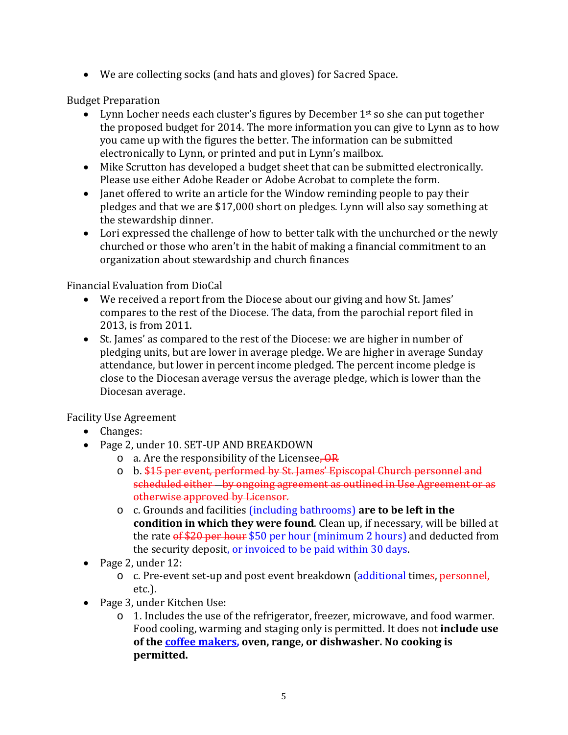• We are collecting socks (and hats and gloves) for Sacred Space.

Budget Preparation

- Lynn Locher needs each cluster's figures by December  $1<sup>st</sup>$  so she can put together the proposed budget for 2014. The more information you can give to Lynn as to how you came up with the figures the better. The information can be submitted electronically to Lynn, or printed and put in Lynn's mailbox.
- Mike Scrutton has developed a budget sheet that can be submitted electronically. Please use either Adobe Reader or Adobe Acrobat to complete the form.
- Janet offered to write an article for the Window reminding people to pay their pledges and that we are \$17,000 short on pledges. Lynn will also say something at the stewardship dinner.
- Lori expressed the challenge of how to better talk with the unchurched or the newly churched or those who aren't in the habit of making a financial commitment to an organization about stewardship and church finances

Financial Evaluation from DioCal

- We received a report from the Diocese about our giving and how St. James' compares to the rest of the Diocese. The data, from the parochial report filed in 2013, is from 2011.
- St. James' as compared to the rest of the Diocese: we are higher in number of pledging units, but are lower in average pledge. We are higher in average Sunday attendance, but lower in percent income pledged. The percent income pledge is close to the Diocesan average versus the average pledge, which is lower than the Diocesan average.

Facility Use Agreement

- Changes:
- Page 2, under 10. SET-UP AND BREAKDOWN
	- $\circ$  a. Are the responsibility of the Licensee, OR
	- o b. \$15 per event, performed by St. James' Episcopal Church personnel and scheduled either by ongoing agreement as outlined in Use Agreement or as otherwise approved by Licensor.
	- o c. Grounds and facilities (including bathrooms) **are to be left in the condition in which they were found**. Clean up, if necessary, will be billed at the rate  $\frac{6f}{20}$  per hour  $$50$  per hour (minimum 2 hours) and deducted from the security deposit, or invoiced to be paid within 30 days.
- Page 2, under 12:
	- o c. Pre-event set-up and post event breakdown (additional times, personnel, etc.).
- Page 3, under Kitchen Use:
	- o 1. Includes the use of the refrigerator, freezer, microwave, and food warmer. Food cooling, warming and staging only is permitted. It does not **include use of the coffee makers, oven, range, or dishwasher. No cooking is permitted.**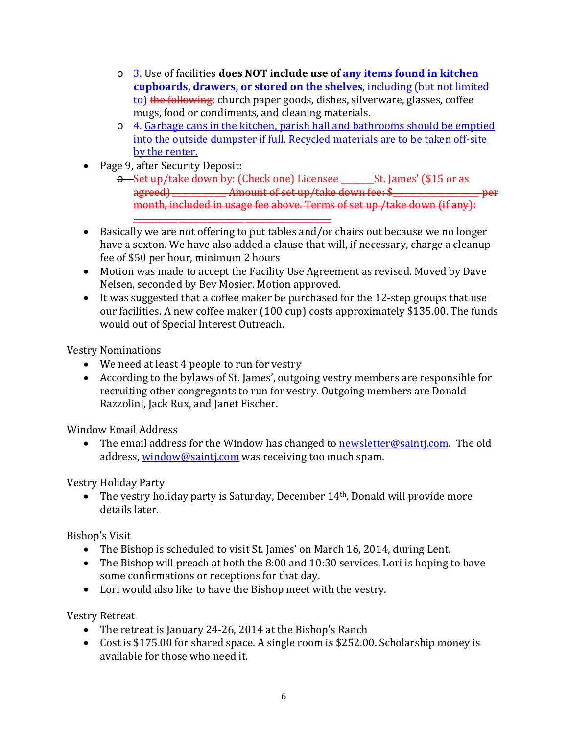- o 3. Use of facilities **does NOT include use of any items found in kitchen cupboards, drawers, or stored on the shelves**, including (but not limited to) the following: church paper goods, dishes, silverware, glasses, coffee mugs, food or condiments, and cleaning materials.
- o 4. Garbage cans in the kitchen, parish hall and bathrooms should be emptied into the outside dumpster if full. Recycled materials are to be taken off-site by the renter.
- Page 9, after Security Deposit:
	- o Set up/take down by: (Check one) Licensee \_\_\_\_\_\_\_\_St. James' (\$15 or as agreed) \_\_\_\_\_\_\_\_\_\_\_\_ Amount of set up/take down fee: \$\_\_\_\_\_\_\_\_\_\_\_\_\_\_\_\_\_\_\_\_\_\_\_\_\_\_ month, included in usage fee above. Terms of set up /take down (if any):
- \_\_\_\_\_\_\_\_\_\_\_\_\_\_\_\_\_\_\_\_\_\_\_\_\_\_\_\_\_\_\_\_\_\_\_\_\_\_\_\_\_\_\_\_\_\_\_\_ • Basically we are not offering to put tables and/or chairs out because we no longer have a sexton. We have also added a clause that will, if necessary, charge a cleanup fee of \$50 per hour, minimum 2 hours
- Motion was made to accept the Facility Use Agreement as revised. Moved by Dave Nelsen, seconded by Bev Mosier. Motion approved.
- It was suggested that a coffee maker be purchased for the 12-step groups that use our facilities. A new coffee maker (100 cup) costs approximately \$135.00. The funds would out of Special Interest Outreach.

Vestry Nominations

- We need at least 4 people to run for vestry
- According to the bylaws of St. James', outgoing vestry members are responsible for recruiting other congregants to run for vestry. Outgoing members are Donald Razzolini, Jack Rux, and Janet Fischer.

Window Email Address

• The email address for the Window has changed to **newsletter@saintj.com.** The old address, window@sainti.com was receiving too much spam.

Vestry Holiday Party

• The vestry holiday party is Saturday, December 14<sup>th</sup>. Donald will provide more details later.

Bishop's Visit

- The Bishop is scheduled to visit St. James' on March 16, 2014, during Lent.
- The Bishop will preach at both the 8:00 and 10:30 services. Lori is hoping to have some confirmations or receptions for that day.
- Lori would also like to have the Bishop meet with the vestry.

Vestry Retreat

- The retreat is January 24-26, 2014 at the Bishop's Ranch
- Cost is \$175.00 for shared space. A single room is \$252.00. Scholarship money is available for those who need it.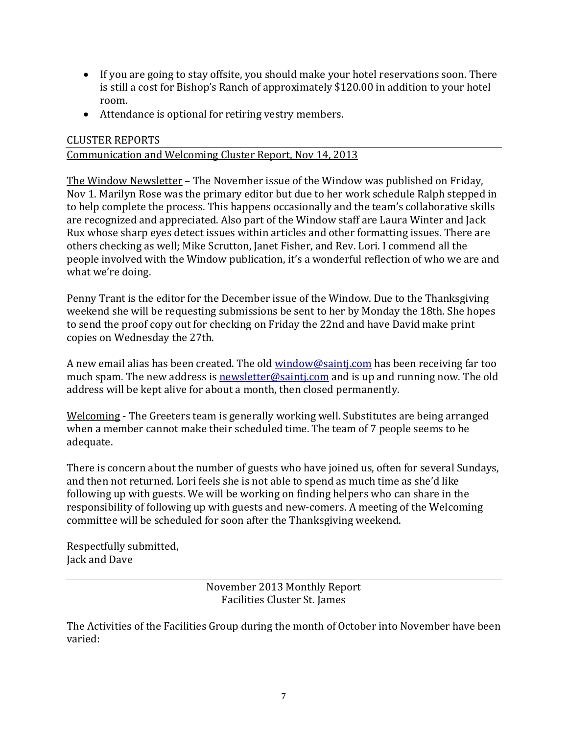- If you are going to stay offsite, you should make your hotel reservations soon. There is still a cost for Bishop's Ranch of approximately \$120.00 in addition to your hotel room.
- Attendance is optional for retiring vestry members.

### CLUSTER REPORTS

### Communication and Welcoming Cluster Report, Nov 14, 2013

The Window Newsletter – The November issue of the Window was published on Friday, Nov 1. Marilyn Rose was the primary editor but due to her work schedule Ralph stepped in to help complete the process. This happens occasionally and the team's collaborative skills are recognized and appreciated. Also part of the Window staff are Laura Winter and Jack Rux whose sharp eyes detect issues within articles and other formatting issues. There are others checking as well; Mike Scrutton, Janet Fisher, and Rev. Lori. I commend all the people involved with the Window publication, it's a wonderful reflection of who we are and what we're doing.

Penny Trant is the editor for the December issue of the Window. Due to the Thanksgiving weekend she will be requesting submissions be sent to her by Monday the 18th. She hopes to send the proof copy out for checking on Friday the 22nd and have David make print copies on Wednesday the 27th.

A new email alias has been created. The old [window@saintj.com](mailto:window@saintj.com) has been receiving far too much spam. The new address is [newsletter@saintj.com](mailto:newsletter@saintj.com) and is up and running now. The old address will be kept alive for about a month, then closed permanently.

Welcoming - The Greeters team is generally working well. Substitutes are being arranged when a member cannot make their scheduled time. The team of 7 people seems to be adequate.

There is concern about the number of guests who have joined us, often for several Sundays, and then not returned. Lori feels she is not able to spend as much time as she'd like following up with guests. We will be working on finding helpers who can share in the responsibility of following up with guests and new-comers. A meeting of the Welcoming committee will be scheduled for soon after the Thanksgiving weekend.

Respectfully submitted, Jack and Dave

> November 2013 Monthly Report Facilities Cluster St. James

The Activities of the Facilities Group during the month of October into November have been varied: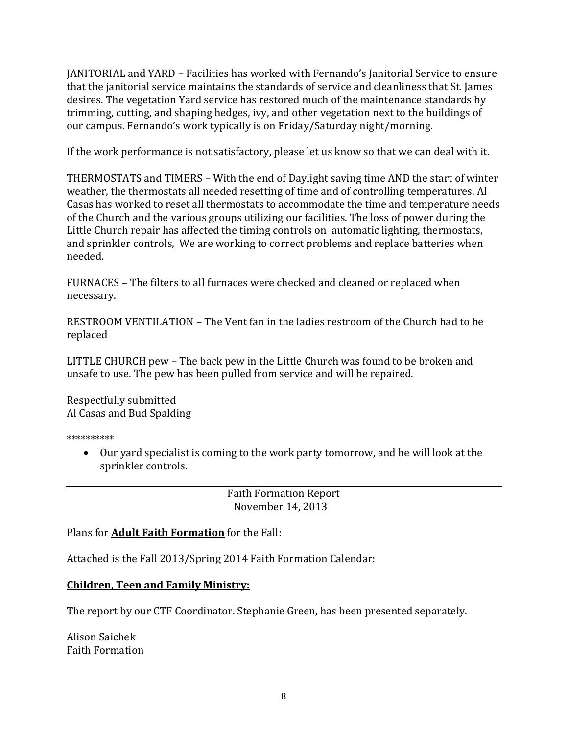JANITORIAL and YARD – Facilities has worked with Fernando's Janitorial Service to ensure that the janitorial service maintains the standards of service and cleanliness that St. James desires. The vegetation Yard service has restored much of the maintenance standards by trimming, cutting, and shaping hedges, ivy, and other vegetation next to the buildings of our campus. Fernando's work typically is on Friday/Saturday night/morning.

If the work performance is not satisfactory, please let us know so that we can deal with it.

THERMOSTATS and TIMERS – With the end of Daylight saving time AND the start of winter weather, the thermostats all needed resetting of time and of controlling temperatures. Al Casas has worked to reset all thermostats to accommodate the time and temperature needs of the Church and the various groups utilizing our facilities. The loss of power during the Little Church repair has affected the timing controls on automatic lighting, thermostats, and sprinkler controls, We are working to correct problems and replace batteries when needed.

FURNACES – The filters to all furnaces were checked and cleaned or replaced when necessary.

RESTROOM VENTILATION – The Vent fan in the ladies restroom of the Church had to be replaced

LITTLE CHURCH pew – The back pew in the Little Church was found to be broken and unsafe to use. The pew has been pulled from service and will be repaired.

Respectfully submitted Al Casas and Bud Spalding

\*\*\*\*\*\*\*\*\*\*

• Our yard specialist is coming to the work party tomorrow, and he will look at the sprinkler controls.

> Faith Formation Report November 14, 2013

Plans for **Adult Faith Formation** for the Fall:

Attached is the Fall 2013/Spring 2014 Faith Formation Calendar:

## **Children, Teen and Family Ministry:**

The report by our CTF Coordinator. Stephanie Green, has been presented separately.

Alison Saichek Faith Formation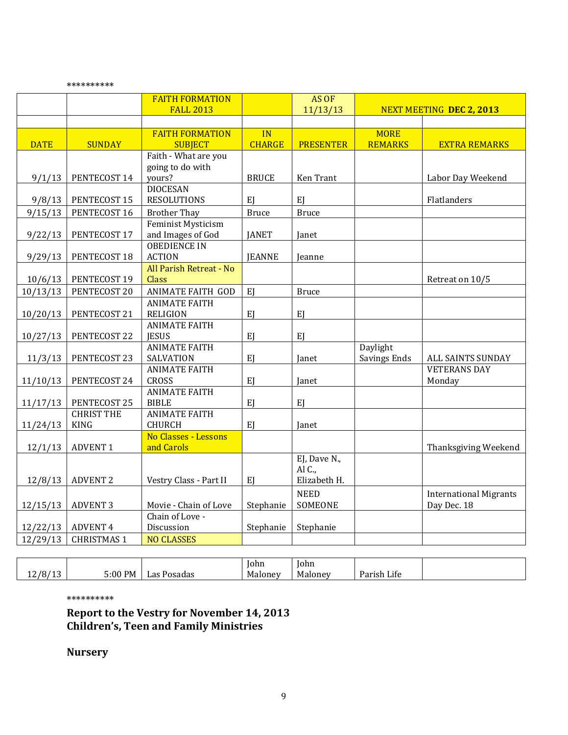|             |                    | <b>FAITH FORMATION</b>                  |               | AS OF            |                                 |                               |
|-------------|--------------------|-----------------------------------------|---------------|------------------|---------------------------------|-------------------------------|
|             |                    | <b>FALL 2013</b>                        |               | 11/13/13         | <b>NEXT MEETING DEC 2, 2013</b> |                               |
|             |                    |                                         |               |                  |                                 |                               |
|             |                    | <b>FAITH FORMATION</b>                  | IN            |                  | <b>MORE</b>                     |                               |
| <b>DATE</b> | <b>SUNDAY</b>      | <b>SUBJECT</b>                          | <b>CHARGE</b> | <b>PRESENTER</b> | <b>REMARKS</b>                  | <b>EXTRA REMARKS</b>          |
|             |                    | Faith - What are you                    |               |                  |                                 |                               |
|             |                    | going to do with                        |               |                  |                                 |                               |
| 9/1/13      | PENTECOST 14       | yours?                                  | <b>BRUCE</b>  | <b>Ken Trant</b> |                                 | Labor Day Weekend             |
|             |                    | <b>DIOCESAN</b>                         |               |                  |                                 |                               |
| 9/8/13      | PENTECOST 15       | <b>RESOLUTIONS</b>                      | EJ            | EJ               |                                 | Flatlanders                   |
| 9/15/13     | PENTECOST 16       | <b>Brother Thay</b>                     | <b>Bruce</b>  | <b>Bruce</b>     |                                 |                               |
|             |                    | Feminist Mysticism                      |               |                  |                                 |                               |
| 9/22/13     | PENTECOST 17       | and Images of God                       | <b>JANET</b>  | Janet            |                                 |                               |
|             |                    | <b>OBEDIENCE IN</b>                     |               |                  |                                 |                               |
| 9/29/13     | PENTECOST 18       | <b>ACTION</b>                           | <b>JEANNE</b> | Jeanne           |                                 |                               |
|             | PENTECOST 19       | All Parish Retreat - No<br>Class        |               |                  |                                 |                               |
| 10/6/13     |                    |                                         |               |                  |                                 | Retreat on 10/5               |
| 10/13/13    | PENTECOST 20       | <b>ANIMATE FAITH GOD</b>                | EJ            | <b>Bruce</b>     |                                 |                               |
|             |                    | <b>ANIMATE FAITH</b><br><b>RELIGION</b> |               | EJ               |                                 |                               |
| 10/20/13    | PENTECOST 21       | <b>ANIMATE FAITH</b>                    | EJ            |                  |                                 |                               |
| 10/27/13    | PENTECOST 22       | <b>IESUS</b>                            | EJ            | EJ               |                                 |                               |
|             |                    | <b>ANIMATE FAITH</b>                    |               |                  | Daylight                        |                               |
| 11/3/13     | PENTECOST 23       | SALVATION                               | EJ            | Janet            | Savings Ends                    | ALL SAINTS SUNDAY             |
|             |                    | <b>ANIMATE FAITH</b>                    |               |                  |                                 | <b>VETERANS DAY</b>           |
| 11/10/13    | PENTECOST 24       | <b>CROSS</b>                            | EJ            | Janet            |                                 | Monday                        |
|             |                    | <b>ANIMATE FAITH</b>                    |               |                  |                                 |                               |
| 11/17/13    | PENTECOST 25       | <b>BIBLE</b>                            | EJ            | EJ               |                                 |                               |
|             | <b>CHRIST THE</b>  | <b>ANIMATE FAITH</b>                    |               |                  |                                 |                               |
| 11/24/13    | <b>KING</b>        | <b>CHURCH</b>                           | EJ            | Janet            |                                 |                               |
|             |                    | No Classes - Lessons                    |               |                  |                                 |                               |
| 12/1/13     | <b>ADVENT 1</b>    | and Carols                              |               |                  |                                 | Thanksgiving Weekend          |
|             |                    |                                         |               | EJ, Dave N.,     |                                 |                               |
|             |                    |                                         |               | Al C.,           |                                 |                               |
| 12/8/13     | <b>ADVENT 2</b>    | Vestry Class - Part II                  | EJ            | Elizabeth H.     |                                 |                               |
|             |                    |                                         |               | <b>NEED</b>      |                                 | <b>International Migrants</b> |
| 12/15/13    | <b>ADVENT 3</b>    | Movie - Chain of Love                   | Stephanie     | SOMEONE          |                                 | Day Dec. 18                   |
|             |                    | Chain of Love -                         |               |                  |                                 |                               |
| 12/22/13    | <b>ADVENT 4</b>    | Discussion                              | Stephanie     | Stephanie        |                                 |                               |
| 12/29/13    | <b>CHRISTMAS 1</b> | <b>NO CLASSES</b>                       |               |                  |                                 |                               |

|                                            |         |                | John    | John                     |                                                |  |
|--------------------------------------------|---------|----------------|---------|--------------------------|------------------------------------------------|--|
| $1/8/1$ <sup>~</sup><br>$\sim$<br>ᆠ 니<br>∸ | 5:00 PM | Posadas<br>uas | Malonev | $\sim$ $\sim$<br>Malonev | $\mathbf{r}$ .<br>$\sqrt{ }$<br>Parish<br>Life |  |

\*\*\*\*\*\*\*\*\*\*

\*\*\*\*\*\*\*\*\*\*

**Report to the Vestry for November 14, 2013 Children's, Teen and Family Ministries**

**Nursery**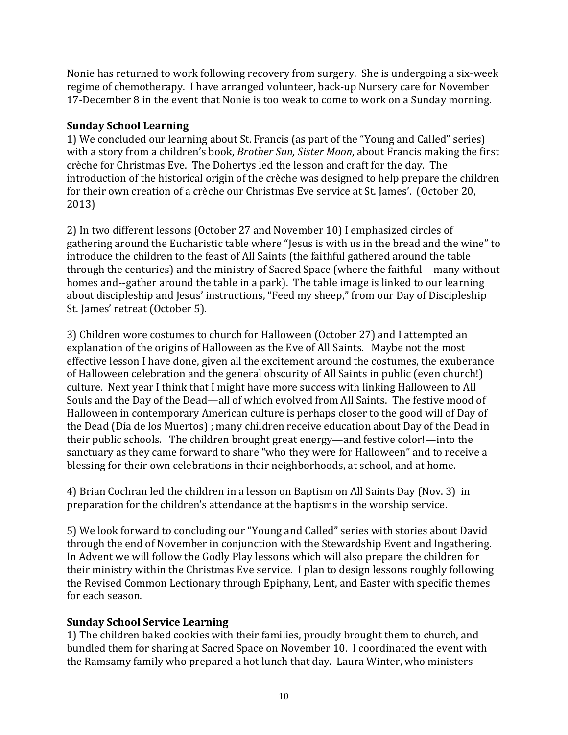Nonie has returned to work following recovery from surgery. She is undergoing a six-week regime of chemotherapy. I have arranged volunteer, back-up Nursery care for November 17-December 8 in the event that Nonie is too weak to come to work on a Sunday morning.

### **Sunday School Learning**

1) We concluded our learning about St. Francis (as part of the "Young and Called" series) with a story from a children's book, *Brother Sun, Sister Moon*, about Francis making the first crèche for Christmas Eve. The Dohertys led the lesson and craft for the day. The introduction of the historical origin of the crèche was designed to help prepare the children for their own creation of a crèche our Christmas Eve service at St. James'. (October 20, 2013)

2) In two different lessons (October 27 and November 10) I emphasized circles of gathering around the Eucharistic table where "Jesus is with us in the bread and the wine" to introduce the children to the feast of All Saints (the faithful gathered around the table through the centuries) and the ministry of Sacred Space (where the faithful—many without homes and--gather around the table in a park). The table image is linked to our learning about discipleship and Jesus' instructions, "Feed my sheep," from our Day of Discipleship St. James' retreat (October 5).

3) Children wore costumes to church for Halloween (October 27) and I attempted an explanation of the origins of Halloween as the Eve of All Saints. Maybe not the most effective lesson I have done, given all the excitement around the costumes, the exuberance of Halloween celebration and the general obscurity of All Saints in public (even church!) culture. Next year I think that I might have more success with linking Halloween to All Souls and the Day of the Dead—all of which evolved from All Saints. The festive mood of Halloween in contemporary American culture is perhaps closer to the good will of Day of the Dead (Día de los Muertos) ; many children receive education about Day of the Dead in their public schools. The children brought great energy—and festive color!—into the sanctuary as they came forward to share "who they were for Halloween" and to receive a blessing for their own celebrations in their neighborhoods, at school, and at home.

4) Brian Cochran led the children in a lesson on Baptism on All Saints Day (Nov. 3) in preparation for the children's attendance at the baptisms in the worship service.

5) We look forward to concluding our "Young and Called" series with stories about David through the end of November in conjunction with the Stewardship Event and Ingathering. In Advent we will follow the Godly Play lessons which will also prepare the children for their ministry within the Christmas Eve service. I plan to design lessons roughly following the Revised Common Lectionary through Epiphany, Lent, and Easter with specific themes for each season.

## **Sunday School Service Learning**

1) The children baked cookies with their families, proudly brought them to church, and bundled them for sharing at Sacred Space on November 10. I coordinated the event with the Ramsamy family who prepared a hot lunch that day. Laura Winter, who ministers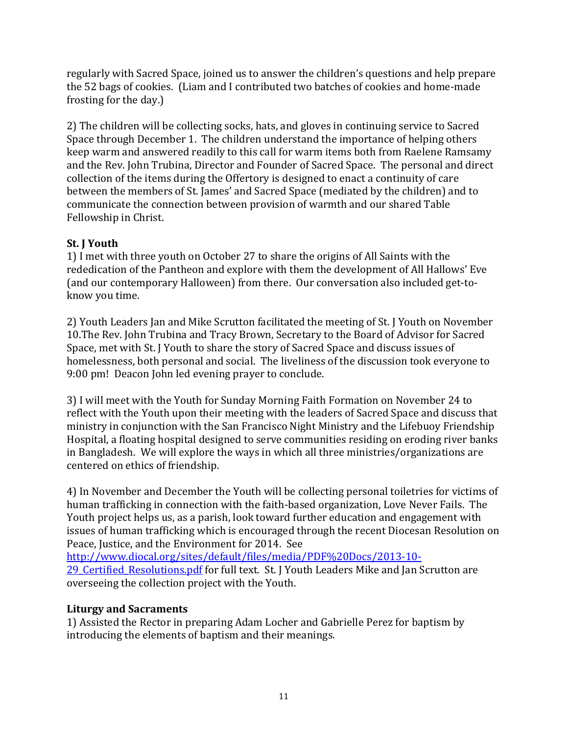regularly with Sacred Space, joined us to answer the children's questions and help prepare the 52 bags of cookies. (Liam and I contributed two batches of cookies and home-made frosting for the day.)

2) The children will be collecting socks, hats, and gloves in continuing service to Sacred Space through December 1. The children understand the importance of helping others keep warm and answered readily to this call for warm items both from Raelene Ramsamy and the Rev. John Trubina, Director and Founder of Sacred Space. The personal and direct collection of the items during the Offertory is designed to enact a continuity of care between the members of St. James' and Sacred Space (mediated by the children) and to communicate the connection between provision of warmth and our shared Table Fellowship in Christ.

# **St. J Youth**

1) I met with three youth on October 27 to share the origins of All Saints with the rededication of the Pantheon and explore with them the development of All Hallows' Eve (and our contemporary Halloween) from there. Our conversation also included get-toknow you time.

2) Youth Leaders Jan and Mike Scrutton facilitated the meeting of St. J Youth on November 10.The Rev. John Trubina and Tracy Brown, Secretary to the Board of Advisor for Sacred Space, met with St. J Youth to share the story of Sacred Space and discuss issues of homelessness, both personal and social. The liveliness of the discussion took everyone to 9:00 pm! Deacon John led evening prayer to conclude.

3) I will meet with the Youth for Sunday Morning Faith Formation on November 24 to reflect with the Youth upon their meeting with the leaders of Sacred Space and discuss that ministry in conjunction with the San Francisco Night Ministry and the Lifebuoy Friendship Hospital, a floating hospital designed to serve communities residing on eroding river banks in Bangladesh. We will explore the ways in which all three ministries/organizations are centered on ethics of friendship.

4) In November and December the Youth will be collecting personal toiletries for victims of human trafficking in connection with the faith-based organization, Love Never Fails. The Youth project helps us, as a parish, look toward further education and engagement with issues of human trafficking which is encouraged through the recent Diocesan Resolution on Peace, Justice, and the Environment for 2014. See

[http://www.diocal.org/sites/default/files/media/PDF%20Docs/2013-10-](http://www.diocal.org/sites/default/files/media/PDF%20Docs/2013-10-29_Certified_Resolutions.pdf)

29 Certified Resolutions.pdf for full text. St. J Youth Leaders Mike and Jan Scrutton are overseeing the collection project with the Youth.

# **Liturgy and Sacraments**

1) Assisted the Rector in preparing Adam Locher and Gabrielle Perez for baptism by introducing the elements of baptism and their meanings.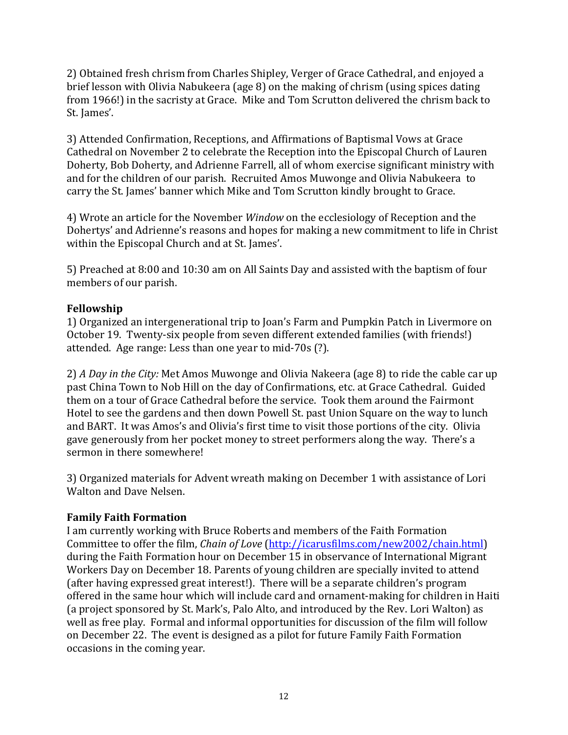2) Obtained fresh chrism from Charles Shipley, Verger of Grace Cathedral, and enjoyed a brief lesson with Olivia Nabukeera (age 8) on the making of chrism (using spices dating from 1966!) in the sacristy at Grace. Mike and Tom Scrutton delivered the chrism back to St. James'.

3) Attended Confirmation, Receptions, and Affirmations of Baptismal Vows at Grace Cathedral on November 2 to celebrate the Reception into the Episcopal Church of Lauren Doherty, Bob Doherty, and Adrienne Farrell, all of whom exercise significant ministry with and for the children of our parish. Recruited Amos Muwonge and Olivia Nabukeera to carry the St. James' banner which Mike and Tom Scrutton kindly brought to Grace.

4) Wrote an article for the November *Window* on the ecclesiology of Reception and the Dohertys' and Adrienne's reasons and hopes for making a new commitment to life in Christ within the Episcopal Church and at St. James'.

5) Preached at 8:00 and 10:30 am on All Saints Day and assisted with the baptism of four members of our parish.

## **Fellowship**

1) Organized an intergenerational trip to Joan's Farm and Pumpkin Patch in Livermore on October 19. Twenty-six people from seven different extended families (with friends!) attended. Age range: Less than one year to mid-70s (?).

2) *A Day in the City:* Met Amos Muwonge and Olivia Nakeera (age 8) to ride the cable car up past China Town to Nob Hill on the day of Confirmations, etc. at Grace Cathedral. Guided them on a tour of Grace Cathedral before the service. Took them around the Fairmont Hotel to see the gardens and then down Powell St. past Union Square on the way to lunch and BART. It was Amos's and Olivia's first time to visit those portions of the city. Olivia gave generously from her pocket money to street performers along the way. There's a sermon in there somewhere!

3) Organized materials for Advent wreath making on December 1 with assistance of Lori Walton and Dave Nelsen.

## **Family Faith Formation**

I am currently working with Bruce Roberts and members of the Faith Formation Committee to offer the film, *Chain of Love* [\(http://icarusfilms.com/new2002/chain.html\)](http://icarusfilms.com/new2002/chain.html) during the Faith Formation hour on December 15 in observance of International Migrant Workers Day on December 18. Parents of young children are specially invited to attend (after having expressed great interest!). There will be a separate children's program offered in the same hour which will include card and ornament-making for children in Haiti (a project sponsored by St. Mark's, Palo Alto, and introduced by the Rev. Lori Walton) as well as free play. Formal and informal opportunities for discussion of the film will follow on December 22. The event is designed as a pilot for future Family Faith Formation occasions in the coming year.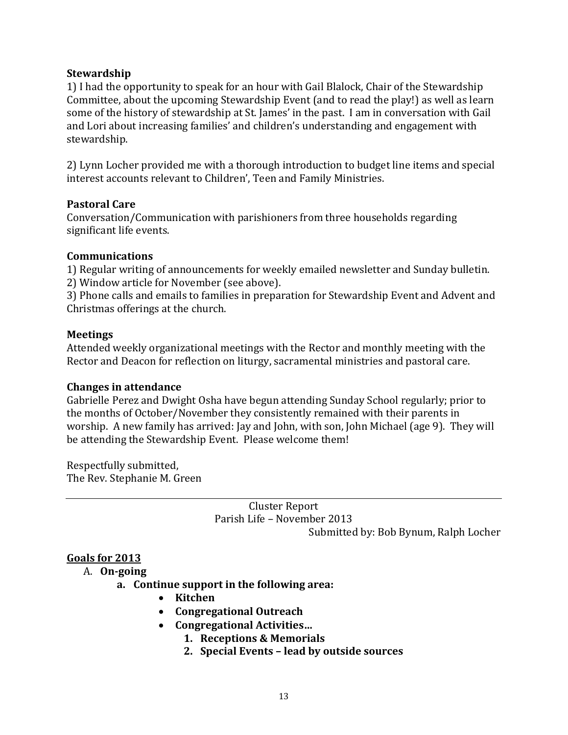### **Stewardship**

1) I had the opportunity to speak for an hour with Gail Blalock, Chair of the Stewardship Committee, about the upcoming Stewardship Event (and to read the play!) as well as learn some of the history of stewardship at St. James' in the past. I am in conversation with Gail and Lori about increasing families' and children's understanding and engagement with stewardship.

2) Lynn Locher provided me with a thorough introduction to budget line items and special interest accounts relevant to Children', Teen and Family Ministries.

### **Pastoral Care**

Conversation/Communication with parishioners from three households regarding significant life events.

### **Communications**

1) Regular writing of announcements for weekly emailed newsletter and Sunday bulletin.

2) Window article for November (see above).

3) Phone calls and emails to families in preparation for Stewardship Event and Advent and Christmas offerings at the church.

### **Meetings**

Attended weekly organizational meetings with the Rector and monthly meeting with the Rector and Deacon for reflection on liturgy, sacramental ministries and pastoral care.

#### **Changes in attendance**

Gabrielle Perez and Dwight Osha have begun attending Sunday School regularly; prior to the months of October/November they consistently remained with their parents in worship. A new family has arrived: Jay and John, with son, John Michael (age 9). They will be attending the Stewardship Event. Please welcome them!

Respectfully submitted, The Rev. Stephanie M. Green

> Cluster Report Parish Life – November 2013 Submitted by: Bob Bynum, Ralph Locher

## **Goals for 2013**

#### A. **On-going**

## **a. Continue support in the following area:**

- **Kitchen**
- **Congregational Outreach**
- **Congregational Activities…**
	- **1. Receptions & Memorials**
	- **2. Special Events – lead by outside sources**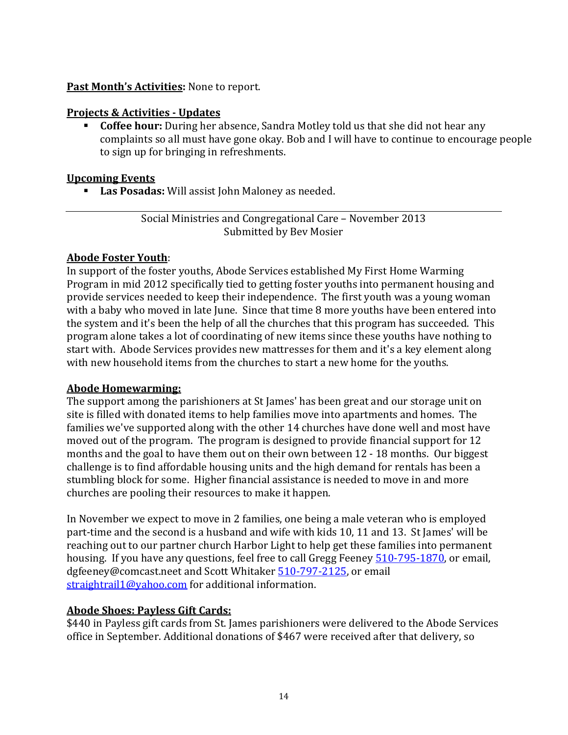### **Past Month's Activities:** None to report.

### **Projects & Activities - Updates**

 **Coffee hour:** During her absence, Sandra Motley told us that she did not hear any complaints so all must have gone okay. Bob and I will have to continue to encourage people to sign up for bringing in refreshments.

### **Upcoming Events**

**Las Posadas:** Will assist John Maloney as needed.

Social Ministries and Congregational Care – November 2013 Submitted by Bev Mosier

### **Abode Foster Youth**:

In support of the foster youths, Abode Services established My First Home Warming Program in mid 2012 specifically tied to getting foster youths into permanent housing and provide services needed to keep their independence. The first youth was a young woman with a baby who moved in late June. Since that time 8 more youths have been entered into the system and it's been the help of all the churches that this program has succeeded. This program alone takes a lot of coordinating of new items since these youths have nothing to start with. Abode Services provides new mattresses for them and it's a key element along with new household items from the churches to start a new home for the youths.

#### **Abode Homewarming:**

The support among the parishioners at St James' has been great and our storage unit on site is filled with donated items to help families move into apartments and homes. The families we've supported along with the other 14 churches have done well and most have moved out of the program. The program is designed to provide financial support for 12 months and the goal to have them out on their own between 12 - 18 months. Our biggest challenge is to find affordable housing units and the high demand for rentals has been a stumbling block for some. Higher financial assistance is needed to move in and more churches are pooling their resources to make it happen.

In November we expect to move in 2 families, one being a male veteran who is employed part-time and the second is a husband and wife with kids 10, 11 and 13. St James' will be reaching out to our partner church Harbor Light to help get these families into permanent housing. If you have any questions, feel free to call Gregg Feeney [510-795-1870,](tel:510-795-1870) or email, dgfeeney@comcast.neet and Scott Whitake[r 510-797-2125,](tel:510-797-2125) or email [straightrail1@yahoo.com](mailto:straightrail1@yahoo.com) for additional information.

## **Abode Shoes: Payless Gift Cards:**

\$440 in Payless gift cards from St. James parishioners were delivered to the Abode Services office in September. Additional donations of \$467 were received after that delivery, so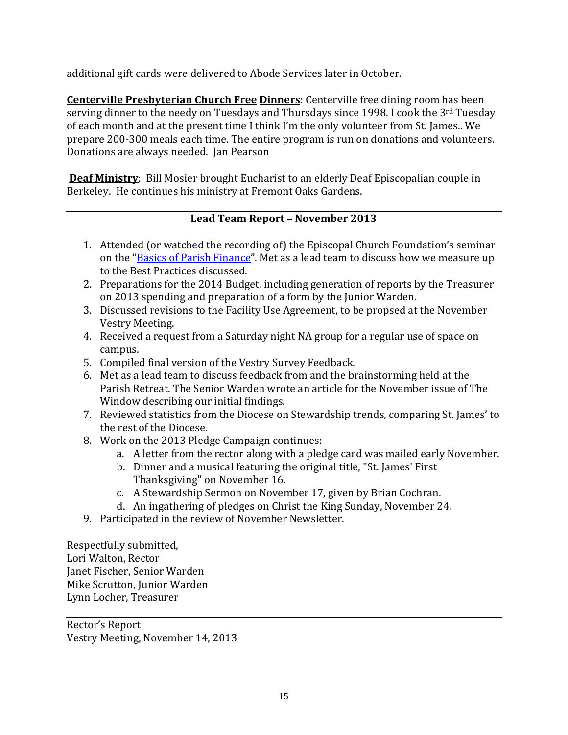additional gift cards were delivered to Abode Services later in October.

**Centerville Presbyterian Church Free Dinners**: Centerville free dining room has been serving dinner to the needy on Tuesdays and Thursdays since 1998. I cook the 3rd Tuesday of each month and at the present time I think I'm the only volunteer from St. James.. We prepare 200-300 meals each time. The entire program is run on donations and volunteers. Donations are always needed. Jan Pearson

**Deaf Ministry**: Bill Mosier brought Eucharist to an elderly Deaf Episcopalian couple in Berkeley. He continues his ministry at Fremont Oaks Gardens.

# **Lead Team Report – November 2013**

- 1. Attended (or watched the recording of) the Episcopal Church Foundation's seminar on the ["Basics of Parish Finance"](http://www.ecfvp.org/webinars/basics-of-parish-finances/). Met as a lead team to discuss how we measure up to the Best Practices discussed.
- 2. Preparations for the 2014 Budget, including generation of reports by the Treasurer on 2013 spending and preparation of a form by the Junior Warden.
- 3. Discussed revisions to the Facility Use Agreement, to be propsed at the November Vestry Meeting.
- 4. Received a request from a Saturday night NA group for a regular use of space on campus.
- 5. Compiled final version of the Vestry Survey Feedback.
- 6. Met as a lead team to discuss feedback from and the brainstorming held at the Parish Retreat. The Senior Warden wrote an article for the November issue of The Window describing our initial findings.
- 7. Reviewed statistics from the Diocese on Stewardship trends, comparing St. James' to the rest of the Diocese.
- 8. Work on the 2013 Pledge Campaign continues:
	- a. A letter from the rector along with a pledge card was mailed early November.
	- b. Dinner and a musical featuring the original title, "St. James' First Thanksgiving" on November 16.
	- c. A Stewardship Sermon on November 17, given by Brian Cochran.
	- d. An ingathering of pledges on Christ the King Sunday, November 24.
- 9. Participated in the review of November Newsletter.

Respectfully submitted, Lori Walton, Rector Janet Fischer, Senior Warden Mike Scrutton, Junior Warden Lynn Locher, Treasurer

Rector's Report Vestry Meeting, November 14, 2013